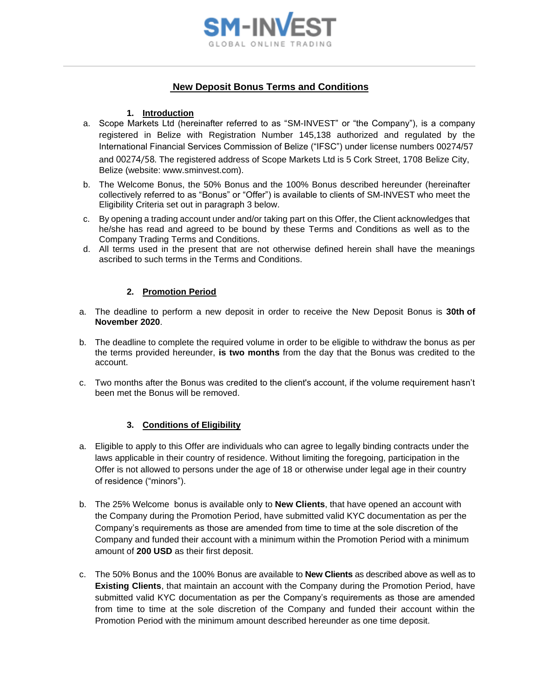

# **New Deposit Bonus Terms and Conditions**

#### **1. Introduction**

- a. Scope Markets Ltd (hereinafter referred to as "SM-INVEST" or "the Company"), is a company registered in Belize with Registration Number 145,138 authorized and regulated by the International Financial Services Commission of Belize ("IFSC") under license numbers 00274/57 and 00274/58. The registered address of Scope Markets Ltd is 5 Cork Street, 1708 Belize City, Belize (website: www.sminvest.com).
- b. The Welcome Bonus, the 50% Bonus and the 100% Bonus described hereunder (hereinafter collectively referred to as "Bonus" or "Offer") is available to clients of SM-INVEST who meet the Eligibility Criteria set out in paragraph 3 below.
- c. By opening a trading account under and/or taking part on this Offer, the Client acknowledges that he/she has read and agreed to be bound by these Terms and Conditions as well as to the Company Trading Terms and Conditions.
- d. All terms used in the present that are not otherwise defined herein shall have the meanings ascribed to such terms in the Terms and Conditions.

#### **2. Promotion Period**

- a. The deadline to perform a new deposit in order to receive the New Deposit Bonus is **30th of November 2020**.
- b. The deadline to complete the required volume in order to be eligible to withdraw the bonus as per the terms provided hereunder, **is two months** from the day that the Bonus was credited to the account.
- c. Two months after the Bonus was credited to the client's account, if the volume requirement hasn't been met the Bonus will be removed.

## **3. Conditions of Eligibility**

- a. Eligible to apply to this Offer are individuals who can agree to legally binding contracts under the laws applicable in their country of residence. Without limiting the foregoing, participation in the Offer is not allowed to persons under the age of 18 or otherwise under legal age in their country of residence ("minors").
- b. The 25% Welcome bonus is available only to **New Clients**, that have opened an account with the Company during the Promotion Period, have submitted valid KYC documentation as per the Company's requirements as those are amended from time to time at the sole discretion of the Company and funded their account with a minimum within the Promotion Period with a minimum amount of **200 USD** as their first deposit.
- c. The 50% Bonus and the 100% Bonus are available to **New Clients** as described above as well as to **Existing Clients**, that maintain an account with the Company during the Promotion Period, have submitted valid KYC documentation as per the Company's requirements as those are amended from time to time at the sole discretion of the Company and funded their account within the Promotion Period with the minimum amount described hereunder as one time deposit.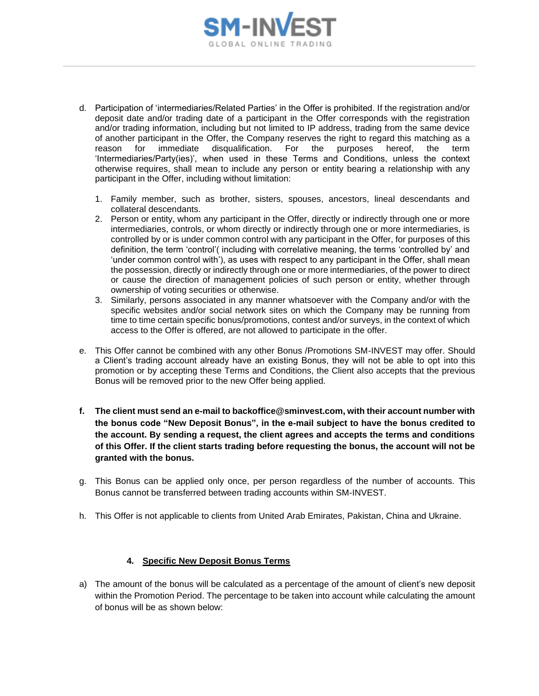

- d. Participation of 'intermediaries/Related Parties' in the Offer is prohibited. If the registration and/or deposit date and/or trading date of a participant in the Offer corresponds with the registration and/or trading information, including but not limited to IP address, trading from the same device of another participant in the Offer, the Company reserves the right to regard this matching as a reason for immediate disqualification. For the purposes hereof, the term 'Intermediaries/Party(ies)', when used in these Terms and Conditions, unless the context otherwise requires, shall mean to include any person or entity bearing a relationship with any participant in the Offer, including without limitation:
	- 1. Family member, such as brother, sisters, spouses, ancestors, lineal descendants and collateral descendants.
	- 2. Person or entity, whom any participant in the Offer, directly or indirectly through one or more intermediaries, controls, or whom directly or indirectly through one or more intermediaries, is controlled by or is under common control with any participant in the Offer, for purposes of this definition, the term 'control'( including with correlative meaning, the terms 'controlled by' and 'under common control with'), as uses with respect to any participant in the Offer, shall mean the possession, directly or indirectly through one or more intermediaries, of the power to direct or cause the direction of management policies of such person or entity, whether through ownership of voting securities or otherwise.
	- 3. Similarly, persons associated in any manner whatsoever with the Company and/or with the specific websites and/or social network sites on which the Company may be running from time to time certain specific bonus/promotions, contest and/or surveys, in the context of which access to the Offer is offered, are not allowed to participate in the offer.
- e. This Offer cannot be combined with any other Bonus /Promotions SM-INVEST may offer. Should a Client's trading account already have an existing Bonus, they will not be able to opt into this promotion or by accepting these Terms and Conditions, the Client also accepts that the previous Bonus will be removed prior to the new Offer being applied.
- **f. The client must send an e-mail to backoffice@sminvest.com, with their account number with the bonus code "New Deposit Bonus", in the e-mail subject to have the bonus credited to the account. By sending a request, the client agrees and accepts the terms and conditions of this Offer. If the client starts trading before requesting the bonus, the account will not be granted with the bonus.**
- g. This Bonus can be applied only once, per person regardless of the number of accounts. This Bonus cannot be transferred between trading accounts within SM-INVEST.
- h. This Offer is not applicable to clients from United Arab Emirates, Pakistan, China and Ukraine.

## **4. Specific New Deposit Bonus Terms**

a) The amount of the bonus will be calculated as a percentage of the amount of client's new deposit within the Promotion Period. The percentage to be taken into account while calculating the amount of bonus will be as shown below: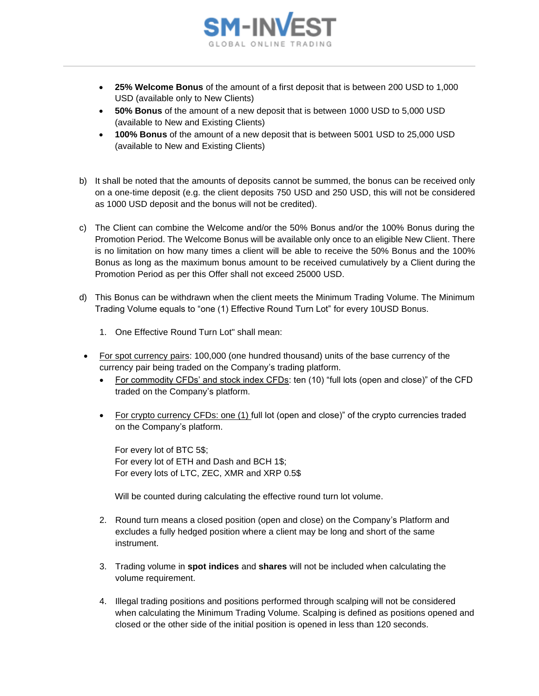

- **25% Welcome Bonus** of the amount of a first deposit that is between 200 USD to 1,000 USD (available only to New Clients)
- **50% Bonus** of the amount of a new deposit that is between 1000 USD to 5,000 USD (available to New and Existing Clients)
- **100% Bonus** of the amount of a new deposit that is between 5001 USD to 25,000 USD (available to New and Existing Clients)
- b) It shall be noted that the amounts of deposits cannot be summed, the bonus can be received only on a one-time deposit (e.g. the client deposits 750 USD and 250 USD, this will not be considered as 1000 USD deposit and the bonus will not be credited).
- c) The Client can combine the Welcome and/or the 50% Bonus and/or the 100% Bonus during the Promotion Period. The Welcome Bonus will be available only once to an eligible New Client. There is no limitation on how many times a client will be able to receive the 50% Bonus and the 100% Bonus as long as the maximum bonus amount to be received cumulatively by a Client during the Promotion Period as per this Offer shall not exceed 25000 USD.
- d) This Bonus can be withdrawn when the client meets the Minimum Trading Volume. The Minimum Trading Volume equals to "one (1) Effective Round Turn Lot" for every 10USD Bonus.
	- 1. One Effective Round Turn Lot" shall mean:
- For spot currency pairs: 100,000 (one hundred thousand) units of the base currency of the currency pair being traded on the Company's trading platform.
	- For commodity CFDs' and stock index CFDs: ten (10) "full lots (open and close)" of the CFD traded on the Company's platform.
	- For crypto currency CFDs: one (1) full lot (open and close)" of the crypto currencies traded on the Company's platform.

For every lot of BTC 5\$; For every lot of ETH and Dash and BCH 1\$; For every lots of LTC, ZEC, XMR and XRP 0.5\$

Will be counted during calculating the effective round turn lot volume.

- 2. Round turn means a closed position (open and close) on the Company's Platform and excludes a fully hedged position where a client may be long and short of the same instrument.
- 3. Trading volume in **spot indices** and **shares** will not be included when calculating the volume requirement.
- 4. Illegal trading positions and positions performed through scalping will not be considered when calculating the Minimum Trading Volume. Scalping is defined as positions opened and closed or the other side of the initial position is opened in less than 120 seconds.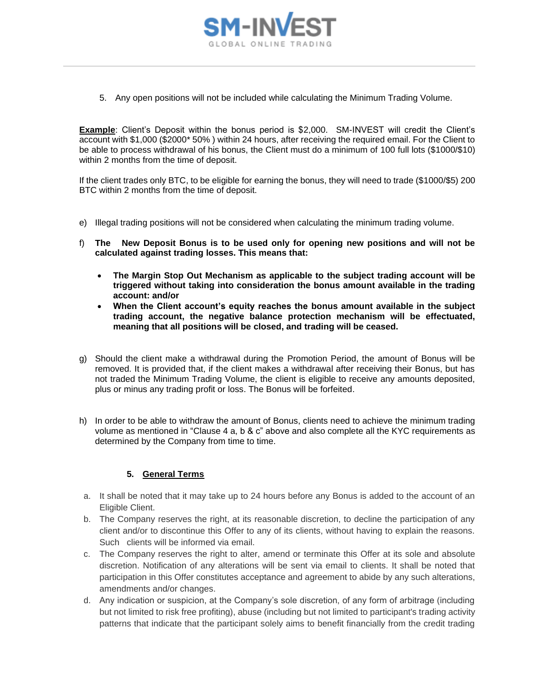

5. Any open positions will not be included while calculating the Minimum Trading Volume.

**Example**: Client's Deposit within the bonus period is \$2,000. SM-INVEST will credit the Client's account with \$1,000 (\$2000\* 50% ) within 24 hours, after receiving the required email. For the Client to be able to process withdrawal of his bonus, the Client must do a minimum of 100 full lots (\$1000/\$10) within 2 months from the time of deposit.

If the client trades only BTC, to be eligible for earning the bonus, they will need to trade (\$1000/\$5) 200 BTC within 2 months from the time of deposit.

- e) Illegal trading positions will not be considered when calculating the minimum trading volume.
- f) **The New Deposit Bonus is to be used only for opening new positions and will not be calculated against trading losses. This means that:**
	- **The Margin Stop Out Mechanism as applicable to the subject trading account will be triggered without taking into consideration the bonus amount available in the trading account: and/or**
	- **When the Client account's equity reaches the bonus amount available in the subject trading account, the negative balance protection mechanism will be effectuated, meaning that all positions will be closed, and trading will be ceased.**
- g) Should the client make a withdrawal during the Promotion Period, the amount of Bonus will be removed. It is provided that, if the client makes a withdrawal after receiving their Bonus, but has not traded the Minimum Trading Volume, the client is eligible to receive any amounts deposited, plus or minus any trading profit or loss. The Bonus will be forfeited.
- h) In order to be able to withdraw the amount of Bonus, clients need to achieve the minimum trading volume as mentioned in "Clause 4 a, b & c" above and also complete all the KYC requirements as determined by the Company from time to time.

## **5. General Terms**

- a. It shall be noted that it may take up to 24 hours before any Bonus is added to the account of an Eligible Client.
- b. The Company reserves the right, at its reasonable discretion, to decline the participation of any client and/or to discontinue this Offer to any of its clients, without having to explain the reasons. Such clients will be informed via email.
- c. The Company reserves the right to alter, amend or terminate this Offer at its sole and absolute discretion. Notification of any alterations will be sent via email to clients. It shall be noted that participation in this Offer constitutes acceptance and agreement to abide by any such alterations, amendments and/or changes.
- d. Any indication or suspicion, at the Company's sole discretion, of any form of arbitrage (including but not limited to risk free profiting), abuse (including but not limited to participant's trading activity patterns that indicate that the participant solely aims to benefit financially from the credit trading